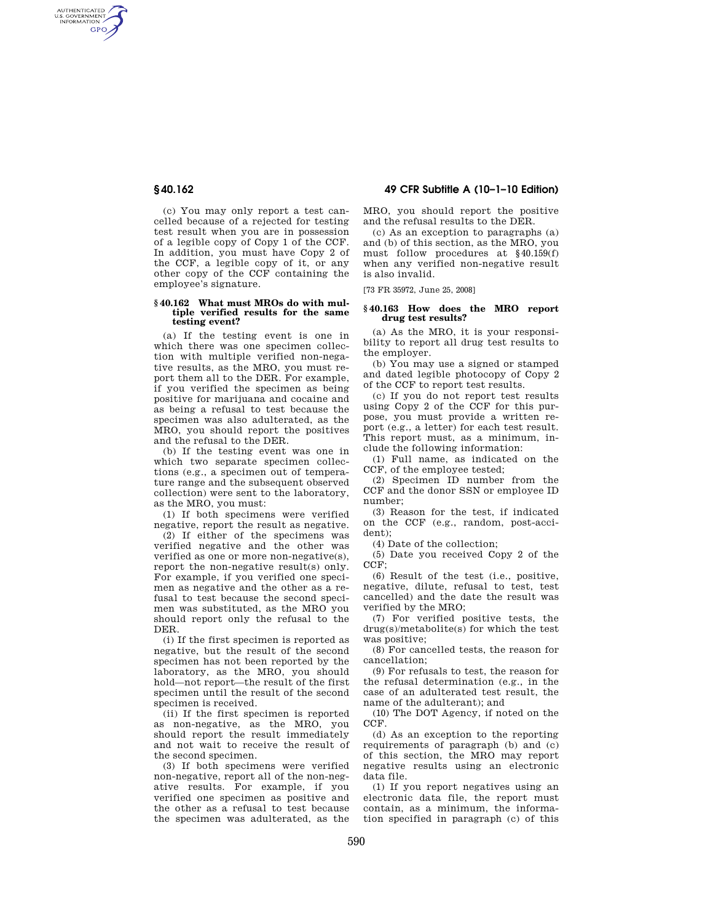AUTHENTICATED<br>U.S. GOVERNMENT<br>INFORMATION **GPO** 

> (c) You may only report a test cancelled because of a rejected for testing test result when you are in possession of a legible copy of Copy 1 of the CCF. In addition, you must have Copy 2 of the CCF, a legible copy of it, or any other copy of the CCF containing the employee's signature.

### **§ 40.162 What must MROs do with multiple verified results for the same testing event?**

(a) If the testing event is one in which there was one specimen collection with multiple verified non-negative results, as the MRO, you must report them all to the DER. For example, if you verified the specimen as being positive for marijuana and cocaine and as being a refusal to test because the specimen was also adulterated, as the MRO, you should report the positives and the refusal to the DER.

(b) If the testing event was one in which two separate specimen collections (e.g., a specimen out of temperature range and the subsequent observed collection) were sent to the laboratory, as the MRO, you must:

(1) If both specimens were verified negative, report the result as negative.

(2) If either of the specimens was verified negative and the other was verified as one or more non-negative(s), report the non-negative result(s) only. For example, if you verified one specimen as negative and the other as a refusal to test because the second specimen was substituted, as the MRO you should report only the refusal to the DER.

(i) If the first specimen is reported as negative, but the result of the second specimen has not been reported by the laboratory, as the MRO, you should hold—not report—the result of the first specimen until the result of the second specimen is received.

(ii) If the first specimen is reported as non-negative, as the MRO, you should report the result immediately and not wait to receive the result of the second specimen.

(3) If both specimens were verified non-negative, report all of the non-negative results. For example, if you verified one specimen as positive and the other as a refusal to test because the specimen was adulterated, as the

**§ 40.162 49 CFR Subtitle A (10–1–10 Edition)** 

MRO, you should report the positive and the refusal results to the DER.

(c) As an exception to paragraphs (a) and (b) of this section, as the MRO, you must follow procedures at §40.159(f) when any verified non-negative result is also invalid.

[73 FR 35972, June 25, 2008]

## **§ 40.163 How does the MRO report drug test results?**

(a) As the MRO, it is your responsibility to report all drug test results to the employer.

(b) You may use a signed or stamped and dated legible photocopy of Copy 2 of the CCF to report test results.

(c) If you do not report test results using Copy 2 of the CCF for this purpose, you must provide a written report (e.g., a letter) for each test result. This report must, as a minimum, include the following information:

(1) Full name, as indicated on the CCF, of the employee tested;

(2) Specimen ID number from the CCF and the donor SSN or employee ID number;

(3) Reason for the test, if indicated on the CCF (e.g., random, post-accident);

(4) Date of the collection;

(5) Date you received Copy 2 of the CCF;

(6) Result of the test (i.e., positive, negative, dilute, refusal to test, test cancelled) and the date the result was verified by the MRO;

(7) For verified positive tests, the drug(s)/metabolite(s) for which the test was positive;

(8) For cancelled tests, the reason for cancellation;

(9) For refusals to test, the reason for the refusal determination (e.g., in the case of an adulterated test result, the name of the adulterant); and

(10) The DOT Agency, if noted on the CCF.

(d) As an exception to the reporting requirements of paragraph (b) and (c) of this section, the MRO may report negative results using an electronic data file.

(1) If you report negatives using an electronic data file, the report must contain, as a minimum, the information specified in paragraph (c) of this